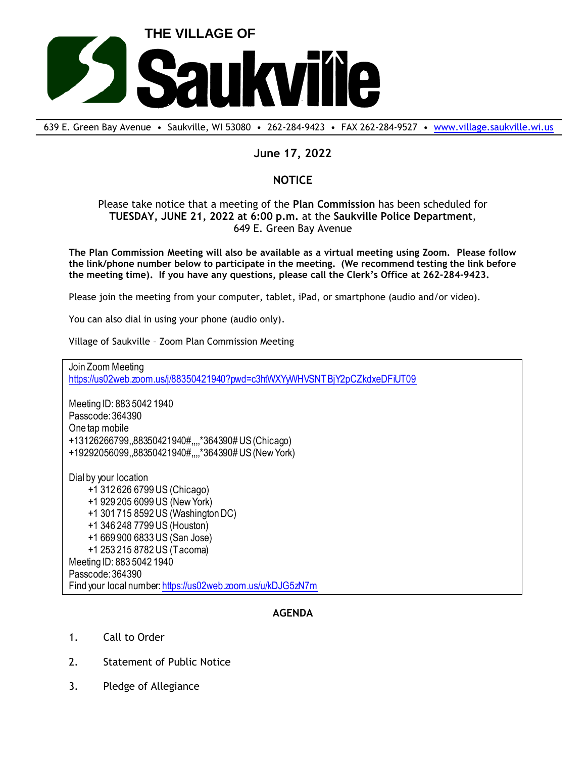

639 E. Green Bay Avenue • Saukville, WI 53080 • 262-284-9423 • FAX 262-284-9527 • [www.village.saukville.wi.us](http://www.village.saukville.wi.us/)

## **June 17, 2022**

## **NOTICE**

Please take notice that a meeting of the **Plan Commission** has been scheduled for **TUESDAY, JUNE 21, 2022 at 6:00 p.m.** at the **Saukville Police Department**, 649 E. Green Bay Avenue

**The Plan Commission Meeting will also be available as a virtual meeting using Zoom. Please follow the link/phone number below to participate in the meeting. (We recommend testing the link before the meeting time). If you have any questions, please call the Clerk's Office at 262-284-9423.**

Please join the meeting from your computer, tablet, iPad, or smartphone (audio and/or video).

You can also dial in using your phone (audio only).

Village of Saukville – Zoom Plan Commission Meeting

https://us02web.zoom.us/j/88350421940?pwd=c3htWXYyWHVSNTBjY2pCZkdxeDFiUT09

Meeting ID: 883 5042 1940 Passcode: 364390 One tap mobile +13126266799,,88350421940#,,,,\*364390# US (Chicago) +19292056099,,88350421940#,,,,\*364390# US (New York)

Join Zoom Meeting<br>
https://us02web.zoom.us/j/883504<br>
Meeting ID: 883 5042 1940<br>
One tap mobile<br>
+13126266799,,88350421940#,,,,<br>
+19292056099,,88350421940#,,,,<br>
Dial by your location<br>
+1 312 626 6799 US (Chicag<br>
+1 929 205 Dial by your location +1 312 626 6799 US (Chicago) +1 929 205 6099 US (New York) +1 301 715 8592 US (Washington DC) +1 346 248 7799 US (Houston) +1 669 900 6833 US (San Jose) +1 253 215 8782 US (Tacoma) Meeting ID: 883 5042 1940 Passcode: 364390 Find your local number: https://us02web.zoom.us/u/kDJG5zN7m

## **AGENDA**

- 1. Call to Order
- 2. Statement of Public Notice
-